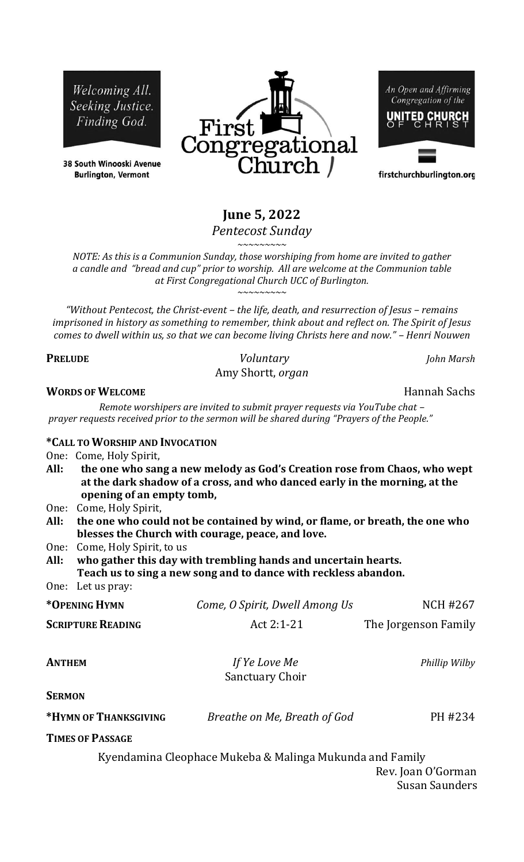Welcoming All. Seeking Justice. Finding God.

38 South Winooski Avenue **Burlington, Vermont** 



An Open and Affirming Congregation of the

firstchurchburlington.org

# **June 5, 2022**

*Pentecost Sunday*

*~~~~~~~~~ NOTE: As this is a Communion Sunday, those worshiping from home are invited to gather a candle and "bread and cup" prior to worship. All are welcome at the Communion table at First Congregational Church UCC of Burlington. ~~~~~~~~~*

*"Without Pentecost, the Christ-event – the life, death, and resurrection of Jesus – remains imprisoned in history as something to remember, think about and reflect on. The Spirit of Jesus comes to dwell within us, so that we can become living Christs here and now." – Henri Nouwen*

**PRELUDE** *Voluntary John Marsh* Amy Shortt, *organ*

#### **WORDS OF WELCOME** *WORDS OF WELCOME*

*Remote worshipers are invited to submit prayer requests via YouTube chat – prayer requests received prior to the sermon will be shared during "Prayers of the People."*

#### **\*CALL TO WORSHIP AND INVOCATION**

One: Come, Holy Spirit,

- **All: the one who sang a new melody as God's Creation rose from Chaos, who wept at the dark shadow of a cross, and who danced early in the morning, at the opening of an empty tomb,**
- One: Come, Holy Spirit,
- **All: the one who could not be contained by wind, or flame, or breath, the one who blesses the Church with courage, peace, and love.**
- One: Come, Holy Spirit, to us

**All: who gather this day with trembling hands and uncertain hearts. Teach us to sing a new song and to dance with reckless abandon.**

# One: Let us pray:

| *OPENING HYMN            | Come, O Spirit, Dwell Among Us          | NCH #267             |
|--------------------------|-----------------------------------------|----------------------|
| <b>SCRIPTURE READING</b> | Act $2:1-21$                            | The Jorgenson Family |
| <b>ANTHEM</b>            | If Ye Love Me<br><b>Sanctuary Choir</b> | Phillip Wilby        |
| $\sim$ $\sim$            |                                         |                      |

**SERMON** 

| *Hymn of Thanksgiving | Breathe on Me, Breath of God | PH #234 |
|-----------------------|------------------------------|---------|
|                       |                              |         |

**TIMES OF PASSAGE** 

Kyendamina Cleophace Mukeba & Malinga Mukunda and Family

 Rev. Joan O'Gorman Susan Saunders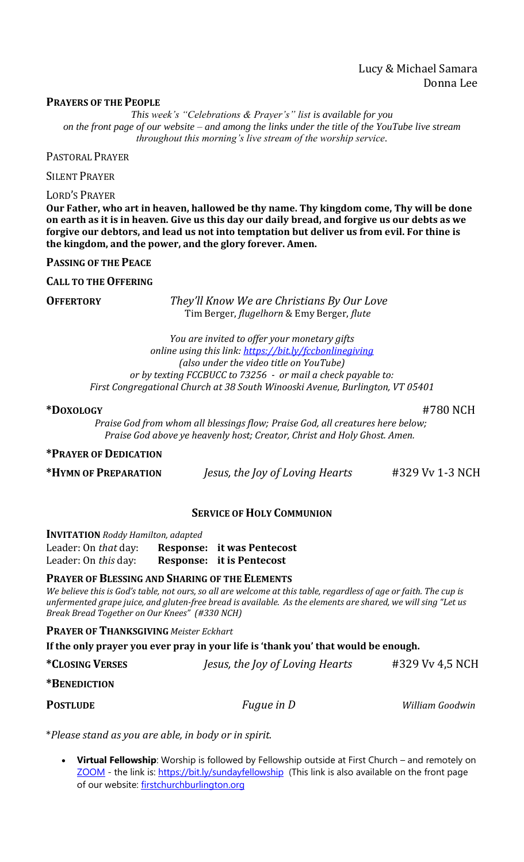# Lucy & Michael Samara Donna Lee

#### **PRAYERS OF THE PEOPLE**

*This week's "Celebrations & Prayer's" list is available for you on the front page of our website – and among the links under the title of the YouTube live stream throughout this morning's live stream of the worship service.*

PASTORAL PRAYER

SILENT PRAYER

LORD'S PRAYER

**Our Father, who art in heaven, hallowed be thy name. Thy kingdom come, Thy will be done on earth as it is in heaven. Give us this day our daily bread, and forgive us our debts as we forgive our debtors, and lead us not into temptation but deliver us from evil. For thine is the kingdom, and the power, and the glory forever. Amen.**

**PASSING OF THE PEACE** 

**CALL TO THE OFFERING** 

**OFFERTORY** *They'll Know We are Christians By Our Love* Tim Berger, *flugelhorn* & Emy Berger, *flute*

> *You are invited to offer your monetary gifts online using this link:<https://bit.ly/fccbonlinegiving> (also under the video title on YouTube) or by texting FCCBUCC to 73256 - or mail a check payable to: First Congregational Church at 38 South Winooski Avenue, Burlington, VT 05401*

**\*DOXOLOGY** #780 NCH

*Praise God from whom all blessings flow; Praise God, all creatures here below; Praise God above ye heavenly host; Creator, Christ and Holy Ghost. Amen.*

### **\*PRAYER OF DEDICATION**

**\*HYMN OF PREPARATION** *Jesus, the Joy of Loving Hearts* #329 Vv 1-3 NCH

### **SERVICE OF HOLY COMMUNION**

**INVITATION** *Roddy Hamilton, adapted* Leader: On *that* day: **Response: it was Pentecost** Leader: On *this* day: **Response: it is Pentecost** 

# **PRAYER OF BLESSING AND SHARING OF THE ELEMENTS**

*We believe this is God's table, not ours, so all are welcome at this table, regardless of age or faith. The cup is unfermented grape juice, and gluten-free bread is available. As the elements are shared, we will sing "Let us Break Bread Together on Our Knees" (#330 NCH)*

**PRAYER OF THANKSGIVING** *Meister Eckhart* 

**If the only prayer you ever pray in your life is 'thank you' that would be enough.**

| <i><b>*CLOSING VERSES</b></i> | Jesus, the Joy of Loving Hearts | #329 Vy 4,5 NCH |
|-------------------------------|---------------------------------|-----------------|
| *BENEDICTION                  |                                 |                 |
| <b>POSTLUDE</b>               | <i>Fugue in D</i>               | William Goodwin |

\**Please stand as you are able, in body or in spirit.*

• **Virtual Fellowship**: Worship is followed by Fellowship outside at First Church – and remotely on [ZOOM](https://bit.ly/sundayfellowship) - the link is:<https://bit.ly/sundayfellowship> (This link is also available on the front page of our website: [firstchurchburlington.org](https://firstchurchburlington.org/)